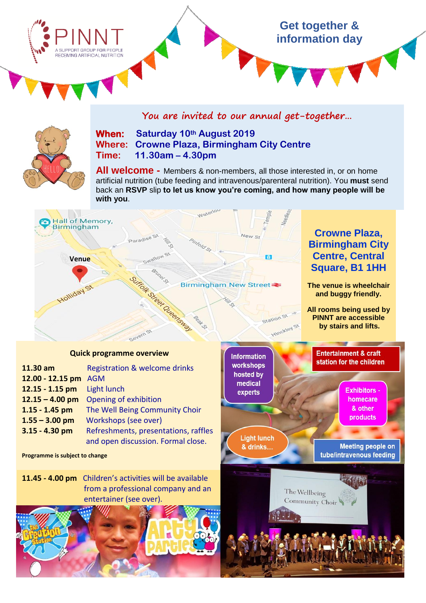# **Get together & information day** A SUPPORT GROUP FOR PEOPLE RECEIVING ARTIFICIAL NUTRITION

**You are invited to our annual get-together…**



## **When: Saturday 10th August 2019 Where: Crowne Plaza, Birmingham City Centre Time: 11.30am – 4.30pm**

**All welcome -** Members & non-members, all those interested in, or on home artificial nutrition (tube feeding and intravenous/parenteral nutrition). You **must** send back an **RSVP** slip **to let us know you're coming, and how many people will be with you**.



#### **Quick programme overview**

| 11.30 am          | Registration & welcome drinks        |
|-------------------|--------------------------------------|
| 12.00 - 12.15 pm  | <b>AGM</b>                           |
| 12.15 - 1.15 pm   | Light lunch                          |
| $12.15 - 4.00$ pm | Opening of exhibition                |
| $1.15 - 1.45$ pm  | The Well Being Community Choir       |
| $1.55 - 3.00$ pm  | Workshops (see over)                 |
| $3.15 - 4.30$ pm  | Refreshments, presentations, raffles |
|                   | and open discussion. Formal close.   |

**Programme is subject to change**

**11.45 - 4.00 pm** Children's activities will be available from a professional company and an entertainer (see over).



**Information** workshops hosted by medical experts

**Light lunch** & drinks.

> The Wellbeing Community Choir

**Entertainment & craft** station for the children

> **Exhibitors** homecare & other products

**Meeting people on** tube/intravenous feeding